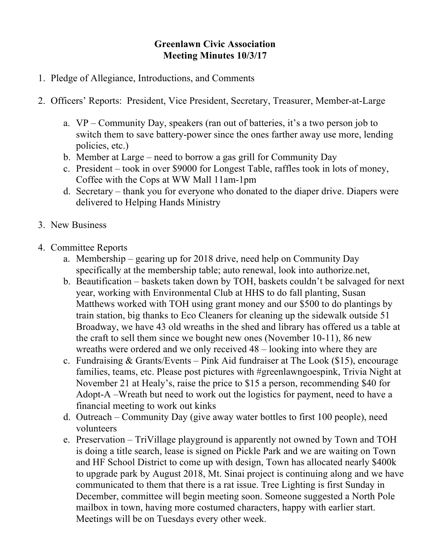## **Greenlawn Civic Association Meeting Minutes 10/3/17**

- 1. Pledge of Allegiance, Introductions, and Comments
- 2. Officers' Reports: President, Vice President, Secretary, Treasurer, Member-at-Large
	- a. VP Community Day, speakers (ran out of batteries, it's a two person job to switch them to save battery-power since the ones farther away use more, lending policies, etc.)
	- b. Member at Large need to borrow a gas grill for Community Day
	- c. President took in over \$9000 for Longest Table, raffles took in lots of money, Coffee with the Cops at WW Mall 11am-1pm
	- d. Secretary thank you for everyone who donated to the diaper drive. Diapers were delivered to Helping Hands Ministry
- 3. New Business
- 4. Committee Reports
	- a. Membership gearing up for 2018 drive, need help on Community Day specifically at the membership table; auto renewal, look into authorize.net,
	- b. Beautification baskets taken down by TOH, baskets couldn't be salvaged for next year, working with Environmental Club at HHS to do fall planting, Susan Matthews worked with TOH using grant money and our \$500 to do plantings by train station, big thanks to Eco Cleaners for cleaning up the sidewalk outside 51 Broadway, we have 43 old wreaths in the shed and library has offered us a table at the craft to sell them since we bought new ones (November 10-11), 86 new wreaths were ordered and we only received 48 – looking into where they are
	- c. Fundraising & Grants/Events Pink Aid fundraiser at The Look (\$15), encourage families, teams, etc. Please post pictures with #greenlawngoespink, Trivia Night at November 21 at Healy's, raise the price to \$15 a person, recommending \$40 for Adopt-A –Wreath but need to work out the logistics for payment, need to have a financial meeting to work out kinks
	- d. Outreach Community Day (give away water bottles to first 100 people), need volunteers
	- e. Preservation TriVillage playground is apparently not owned by Town and TOH is doing a title search, lease is signed on Pickle Park and we are waiting on Town and HF School District to come up with design, Town has allocated nearly \$400k to upgrade park by August 2018, Mt. Sinai project is continuing along and we have communicated to them that there is a rat issue. Tree Lighting is first Sunday in December, committee will begin meeting soon. Someone suggested a North Pole mailbox in town, having more costumed characters, happy with earlier start. Meetings will be on Tuesdays every other week.